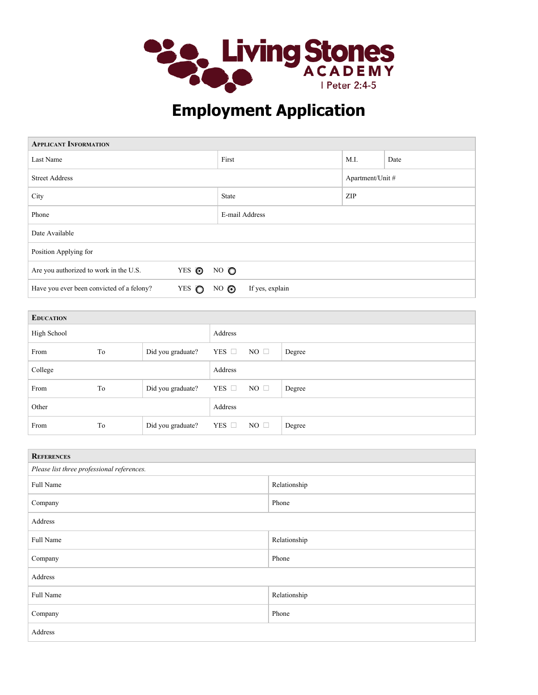

## **Employment Application**

| <b>APPLICANT INFORMATION</b>              |       |                |                 |                  |      |
|-------------------------------------------|-------|----------------|-----------------|------------------|------|
| Last Name                                 |       | First          |                 | M.I.             | Date |
| <b>Street Address</b>                     |       |                |                 | Apartment/Unit # |      |
| City                                      |       | State          |                 | <b>ZIP</b>       |      |
| Phone                                     |       | E-mail Address |                 |                  |      |
| Date Available                            |       |                |                 |                  |      |
| Position Applying for                     |       |                |                 |                  |      |
| Are you authorized to work in the U.S.    | YES ◎ | $NO$ $O$       |                 |                  |      |
| Have you ever been convicted of a felony? | YES O | $NO$ $\odot$   | If yes, explain |                  |      |

| <b>EDUCATION</b> |    |                   |               |              |        |
|------------------|----|-------------------|---------------|--------------|--------|
| High School      |    |                   | Address       |              |        |
| From             | To | Did you graduate? | YES $\square$ | $NO \square$ | Degree |
| College          |    |                   | Address       |              |        |
| From             | To | Did you graduate? | YES $\square$ | $NO \square$ | Degree |
| Other            |    |                   | Address       |              |        |
| From             | To | Did you graduate? | YES $\Box$    | $NO \square$ | Degree |

| <b>REFERENCES</b>                          |              |  |  |  |
|--------------------------------------------|--------------|--|--|--|
| Please list three professional references. |              |  |  |  |
| Full Name                                  | Relationship |  |  |  |
| Company                                    | Phone        |  |  |  |
| Address                                    |              |  |  |  |
| Full Name                                  | Relationship |  |  |  |
| Company                                    | Phone        |  |  |  |
| Address                                    |              |  |  |  |
| Full Name                                  | Relationship |  |  |  |
| Company                                    | Phone        |  |  |  |
| Address                                    |              |  |  |  |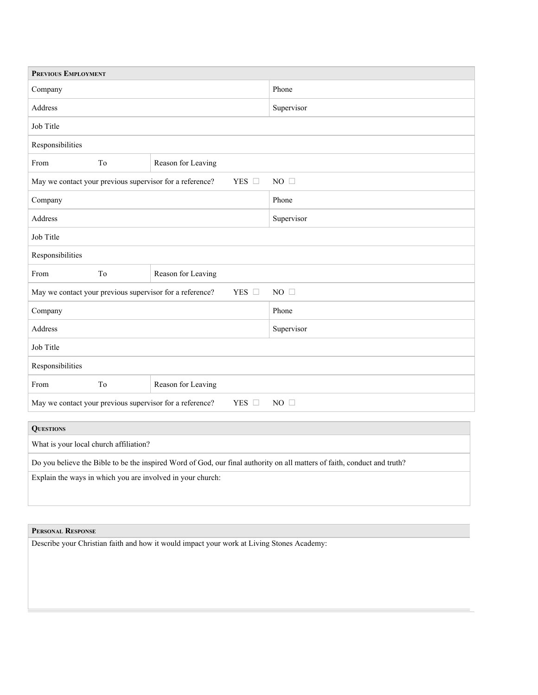| PREVIOUS EMPLOYMENT                                                                    |    |                    |            |  |
|----------------------------------------------------------------------------------------|----|--------------------|------------|--|
| Company                                                                                |    |                    | Phone      |  |
| Address                                                                                |    |                    | Supervisor |  |
| Job Title                                                                              |    |                    |            |  |
| Responsibilities                                                                       |    |                    |            |  |
| From                                                                                   | To | Reason for Leaving |            |  |
| YES □<br>May we contact your previous supervisor for a reference?                      |    |                    | NO $\Box$  |  |
| Company                                                                                |    |                    | Phone      |  |
| Address                                                                                |    |                    | Supervisor |  |
| Job Title                                                                              |    |                    |            |  |
| Responsibilities                                                                       |    |                    |            |  |
| From                                                                                   | To | Reason for Leaving |            |  |
| May we contact your previous supervisor for a reference?<br>YES □                      |    |                    | NO $\Box$  |  |
| Company                                                                                |    |                    | Phone      |  |
| Address                                                                                |    |                    | Supervisor |  |
| Job Title                                                                              |    |                    |            |  |
| Responsibilities                                                                       |    |                    |            |  |
| From                                                                                   | To | Reason for Leaving |            |  |
| May we contact your previous supervisor for a reference?<br>YES $\Box$<br>$NO \square$ |    |                    |            |  |
|                                                                                        |    |                    |            |  |

| <b>QUESTIONS</b>                                                                                                         |
|--------------------------------------------------------------------------------------------------------------------------|
| What is your local church affiliation?                                                                                   |
| Do you believe the Bible to be the inspired Word of God, our final authority on all matters of faith, conduct and truth? |
| Explain the ways in which you are involved in your church.                                                               |

## **PERSONAL RESPONSE**

Describe your Christian faith and how it would impact your work at Living Stones Academy: